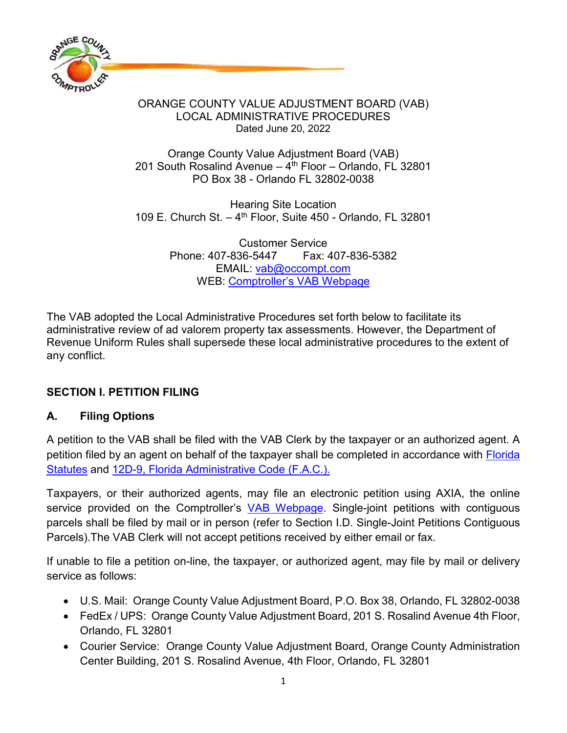

#### Orange County Value Adjustment Board (VAB) 201 South Rosalind Avenue –  $4<sup>th</sup>$  Floor – Orlando, FL 32801 PO Box 38 - Orlando FL 32802-0038

Hearing Site Location 109 E. Church St.  $-4$ <sup>th</sup> Floor, Suite 450 - Orlando, FL 32801

> Customer Service Phone: 407-836-5447 Fax: 407-836-5382 EMAIL: [vab@occompt.com](mailto:VAB@occompt.com) WEB: Comptroller's [VAB Webpage](https://occompt.com/vab/)

The VAB adopted the Local Administrative Procedures set forth below to facilitate its administrative review of ad valorem property tax assessments. However, the Department of Revenue Uniform Rules shall supersede these local administrative procedures to the extent of any conflict.

### **SECTION I. PETITION FILING**

### **A. Filing Options**

A petition to the VAB shall be filed with the VAB Clerk by the taxpayer or an authorized agent. A petition filed by an agent on behalf of the taxpayer shall be completed in accordance with Florida [Statutes](http://www.leg.state.fl.us/STATUTES/index.cfm?App_mode=Display_Statute&URL=0100-0199/0194/0194.html) and [12D-9, Florida Administrative Code \(F.A.C.\).](https://www.flrules.org/gateway/ChapterHome.asp?Chapter=12D-9)

Taxpayers, or their authorized agents, may file an electronic petition using AXIA, the online service provided on the Comptroller's [VAB Webpage.](https://occompt.com/vab/) Single-joint petitions with contiguous parcels shall be filed by mail or in person (refer to Section I.D. Single-Joint Petitions Contiguous Parcels).The VAB Clerk will not accept petitions received by either email or fax.

If unable to file a petition on-line, the taxpayer, or authorized agent, may file by mail or delivery service as follows:

- U.S. Mail: Orange County Value Adjustment Board, P.O. Box 38, Orlando, FL 32802-0038
- FedEx / UPS: Orange County Value Adjustment Board, 201 S. Rosalind Avenue 4th Floor, Orlando, FL 32801
- Courier Service: Orange County Value Adjustment Board, Orange County Administration Center Building, 201 S. Rosalind Avenue, 4th Floor, Orlando, FL 32801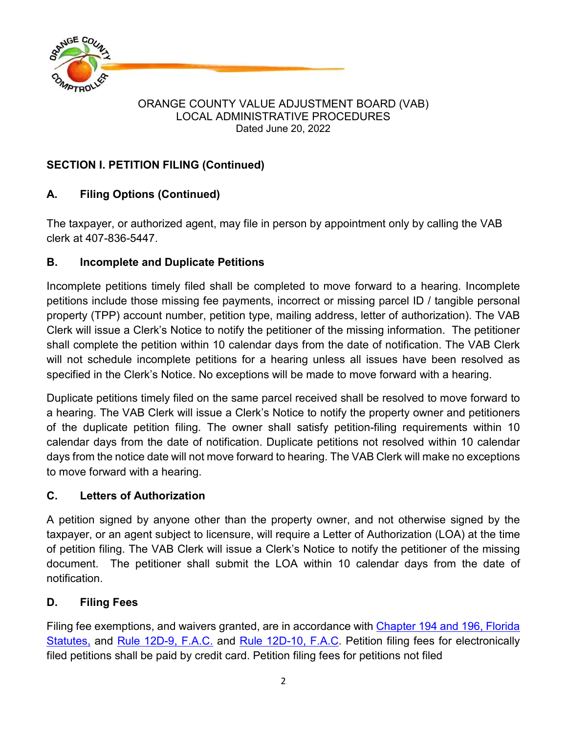

## **SECTION I. PETITION FILING (Continued)**

# **A. Filing Options (Continued)**

The taxpayer, or authorized agent, may file in person by appointment only by calling the VAB clerk at 407-836-5447.

## **B. Incomplete and Duplicate Petitions**

Incomplete petitions timely filed shall be completed to move forward to a hearing. Incomplete petitions include those missing fee payments, incorrect or missing parcel ID / tangible personal property (TPP) account number, petition type, mailing address, letter of authorization). The VAB Clerk will issue a Clerk's Notice to notify the petitioner of the missing information. The petitioner shall complete the petition within 10 calendar days from the date of notification. The VAB Clerk will not schedule incomplete petitions for a hearing unless all issues have been resolved as specified in the Clerk's Notice. No exceptions will be made to move forward with a hearing.

Duplicate petitions timely filed on the same parcel received shall be resolved to move forward to a hearing. The VAB Clerk will issue a Clerk's Notice to notify the property owner and petitioners of the duplicate petition filing. The owner shall satisfy petition-filing requirements within 10 calendar days from the date of notification. Duplicate petitions not resolved within 10 calendar days from the notice date will not move forward to hearing. The VAB Clerk will make no exceptions to move forward with a hearing.

# **C. Letters of Authorization**

A petition signed by anyone other than the property owner, and not otherwise signed by the taxpayer, or an agent subject to licensure, will require a Letter of Authorization (LOA) at the time of petition filing. The VAB Clerk will issue a Clerk's Notice to notify the petitioner of the missing document. The petitioner shall submit the LOA within 10 calendar days from the date of notification.

# **D. Filing Fees**

Filing fee exemptions, and waivers granted, are in accordance with Chapter 194 [and 196, Florida](http://www.leg.state.fl.us/STATUTES/index.cfm?App_mode=Display_Index&Title_Request=XIV#TitleXIV)  [Statutes,](http://www.leg.state.fl.us/STATUTES/index.cfm?App_mode=Display_Index&Title_Request=XIV#TitleXIV) and Rule [12D-9,](https://www.flrules.org/gateway/ChapterHome.asp?Chapter=12D-9) F.A.C. and Rule 12D-10, F.A.C. Petition filing fees for electronically filed petitions shall be paid by credit card. Petition filing fees for petitions not filed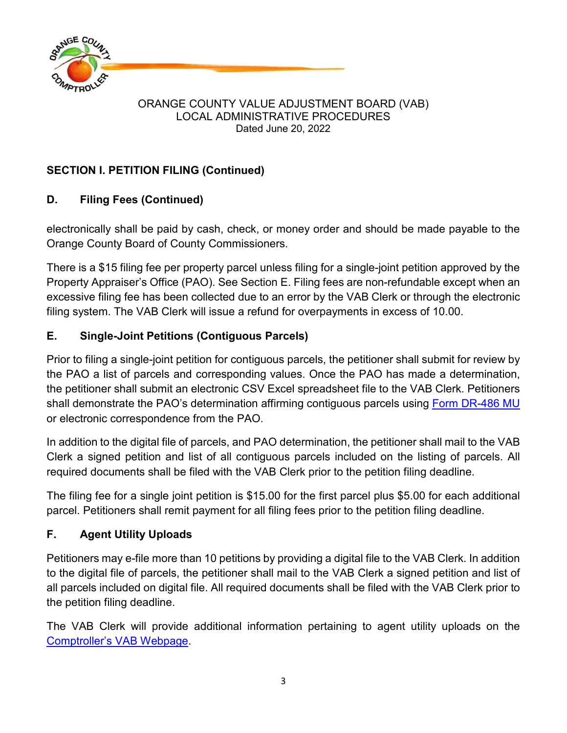

# **SECTION I. PETITION FILING (Continued)**

# **D. Filing Fees (Continued)**

electronically shall be paid by cash, check, or money order and should be made payable to the Orange County Board of County Commissioners.

There is a \$15 filing fee per property parcel unless filing for a single-joint petition approved by the Property Appraiser's Office (PAO). See Section E. Filing fees are non-refundable except when an excessive filing fee has been collected due to an error by the VAB Clerk or through the electronic filing system. The VAB Clerk will issue a refund for overpayments in excess of 10.00.

# **E. Single-Joint Petitions (Contiguous Parcels)**

Prior to filing a single-joint petition for contiguous parcels, the petitioner shall submit for review by the PAO a list of parcels and corresponding values. Once the PAO has made a determination, the petitioner shall submit an electronic CSV Excel spreadsheet file to the VAB Clerk. Petitioners shall demonstrate the PAO's determination affirming contiguous parcels using [Form DR-486 MU](http://floridarevenue.com/dor/property/forms/current/dr486mu.pdf) or electronic correspondence from the PAO.

In addition to the digital file of parcels, and PAO determination, the petitioner shall mail to the VAB Clerk a signed petition and list of all contiguous parcels included on the listing of parcels. All required documents shall be filed with the VAB Clerk prior to the petition filing deadline.

The filing fee for a single joint petition is \$15.00 for the first parcel plus \$5.00 for each additional parcel. Petitioners shall remit payment for all filing fees prior to the petition filing deadline.

# **F. Agent Utility Uploads**

Petitioners may e-file more than 10 petitions by providing a digital file to the VAB Clerk. In addition to the digital file of parcels, the petitioner shall mail to the VAB Clerk a signed petition and list of all parcels included on digital file. All required documents shall be filed with the VAB Clerk prior to the petition filing deadline.

The VAB Clerk will provide additional information pertaining to agent utility uploads on the [Comptroller's VAB Webpage.](https://occompt.com/vab/)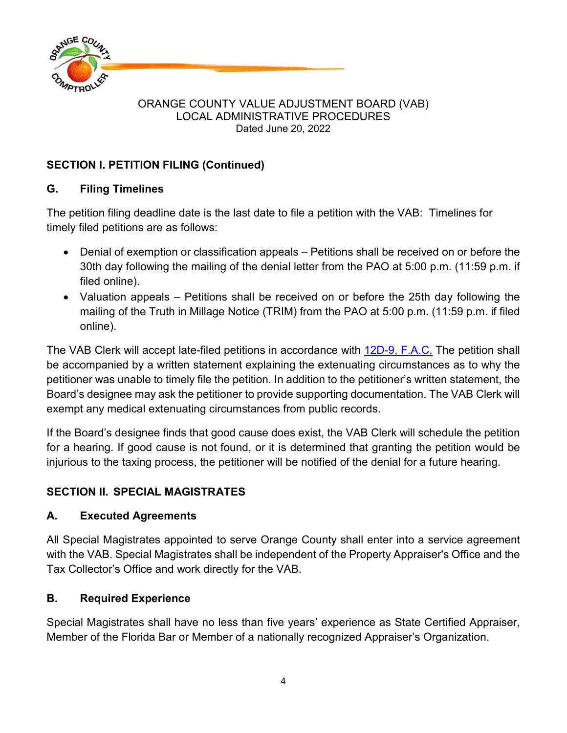

## **SECTION I. PETITION FILING (Continued)**

### **G. Filing Timelines**

The petition filing deadline date is the last date to file a petition with the VAB: Timelines for timely filed petitions are as follows:

- Denial of exemption or classification appeals Petitions shall be received on or before the 30th day following the mailing of the denial letter from the PAO at 5:00 p.m. (11:59 p.m. if filed online).
- Valuation appeals Petitions shall be received on or before the 25th day following the mailing of the Truth in Millage Notice (TRIM) from the PAO at 5:00 p.m. (11:59 p.m. if filed online).

The VAB Clerk will accept late-filed petitions in accordance with [12D-9, F.A.C.](https://www.flrules.org/gateway/ChapterHome.asp?Chapter=12D-9) The petition shall be accompanied by a written statement explaining the extenuating circumstances as to why the petitioner was unable to timely file the petition. In addition to the petitioner's written statement, the Board's designee may ask the petitioner to provide supporting documentation. The VAB Clerk will exempt any medical extenuating circumstances from public records.

If the Board's designee finds that good cause does exist, the VAB Clerk will schedule the petition for a hearing. If good cause is not found, or it is determined that granting the petition would be injurious to the taxing process, the petitioner will be notified of the denial for a future hearing.

### **SECTION II. SPECIAL MAGISTRATES**

### **A. Executed Agreements**

All Special Magistrates appointed to serve Orange County shall enter into a service agreement with the VAB. Special Magistrates shall be independent of the Property Appraiser's Office and the Tax Collector's Office and work directly for the VAB.

### **B. Required Experience**

Special Magistrates shall have no less than five years' experience as State Certified Appraiser, Member of the Florida Bar or Member of a nationally recognized Appraiser's Organization.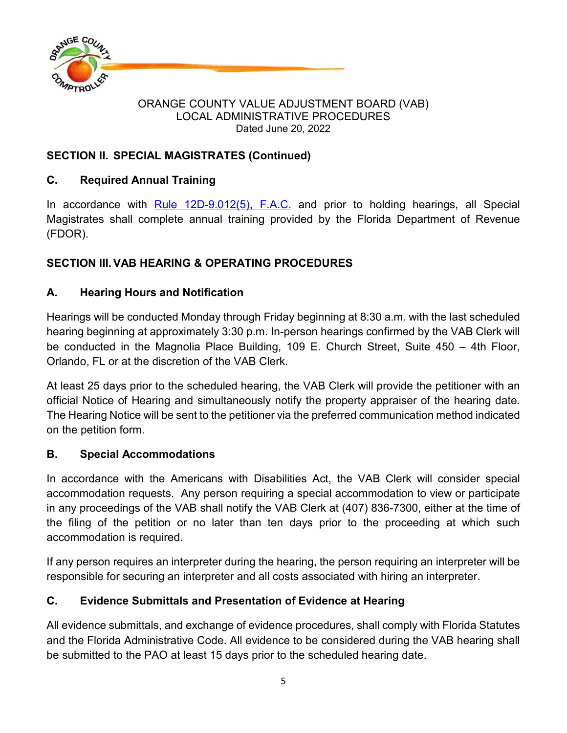

### **SECTION II. SPECIAL MAGISTRATES (Continued)**

## **C. Required Annual Training**

In accordance with  $Rule 12D-9.012(5)$ ,  $F.A.C.$  and prior to holding hearings, all Special Magistrates shall complete annual training provided by the Florida Department of Revenue (FDOR).

# **SECTION III.VAB HEARING & OPERATING PROCEDURES**

## **A. Hearing Hours and Notification**

Hearings will be conducted Monday through Friday beginning at 8:30 a.m. with the last scheduled hearing beginning at approximately 3:30 p.m. In-person hearings confirmed by the VAB Clerk will be conducted in the Magnolia Place Building, 109 E. Church Street, Suite 450 – 4th Floor, Orlando, FL or at the discretion of the VAB Clerk.

At least 25 days prior to the scheduled hearing, the VAB Clerk will provide the petitioner with an official Notice of Hearing and simultaneously notify the property appraiser of the hearing date. The Hearing Notice will be sent to the petitioner via the preferred communication method indicated on the petition form.

### **B. Special Accommodations**

In accordance with the Americans with Disabilities Act, the VAB Clerk will consider special accommodation requests. Any person requiring a special accommodation to view or participate in any proceedings of the VAB shall notify the VAB Clerk at (407) 836-7300, either at the time of the filing of the petition or no later than ten days prior to the proceeding at which such accommodation is required.

If any person requires an interpreter during the hearing, the person requiring an interpreter will be responsible for securing an interpreter and all costs associated with hiring an interpreter.

# **C. Evidence Submittals and Presentation of Evidence at Hearing**

All evidence submittals, and exchange of evidence procedures, shall comply with Florida Statutes and the Florida Administrative Code. All evidence to be considered during the VAB hearing shall be submitted to the PAO at least 15 days prior to the scheduled hearing date.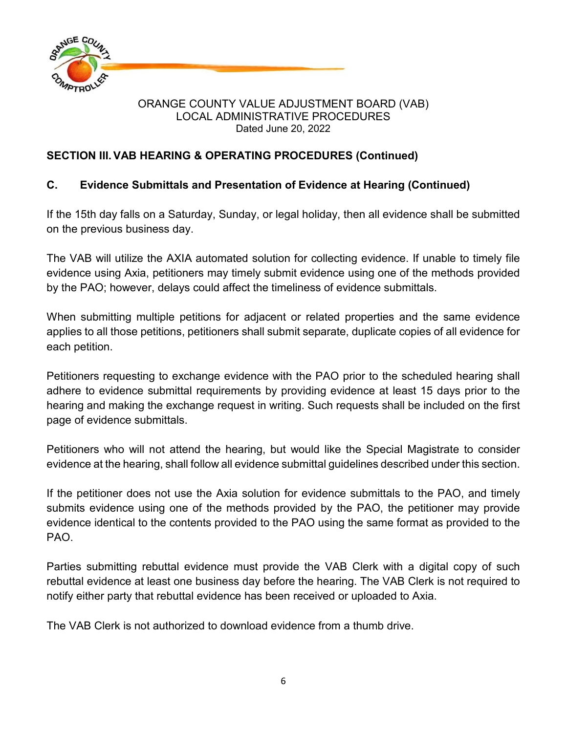

### **SECTION III.VAB HEARING & OPERATING PROCEDURES (Continued)**

### **C. Evidence Submittals and Presentation of Evidence at Hearing (Continued)**

If the 15th day falls on a Saturday, Sunday, or legal holiday, then all evidence shall be submitted on the previous business day.

The VAB will utilize the AXIA automated solution for collecting evidence. If unable to timely file evidence using Axia, petitioners may timely submit evidence using one of the methods provided by the PAO; however, delays could affect the timeliness of evidence submittals.

When submitting multiple petitions for adjacent or related properties and the same evidence applies to all those petitions, petitioners shall submit separate, duplicate copies of all evidence for each petition.

Petitioners requesting to exchange evidence with the PAO prior to the scheduled hearing shall adhere to evidence submittal requirements by providing evidence at least 15 days prior to the hearing and making the exchange request in writing. Such requests shall be included on the first page of evidence submittals.

Petitioners who will not attend the hearing, but would like the Special Magistrate to consider evidence at the hearing, shall follow all evidence submittal guidelines described under this section.

If the petitioner does not use the Axia solution for evidence submittals to the PAO, and timely submits evidence using one of the methods provided by the PAO, the petitioner may provide evidence identical to the contents provided to the PAO using the same format as provided to the PAO.

Parties submitting rebuttal evidence must provide the VAB Clerk with a digital copy of such rebuttal evidence at least one business day before the hearing. The VAB Clerk is not required to notify either party that rebuttal evidence has been received or uploaded to Axia.

The VAB Clerk is not authorized to download evidence from a thumb drive.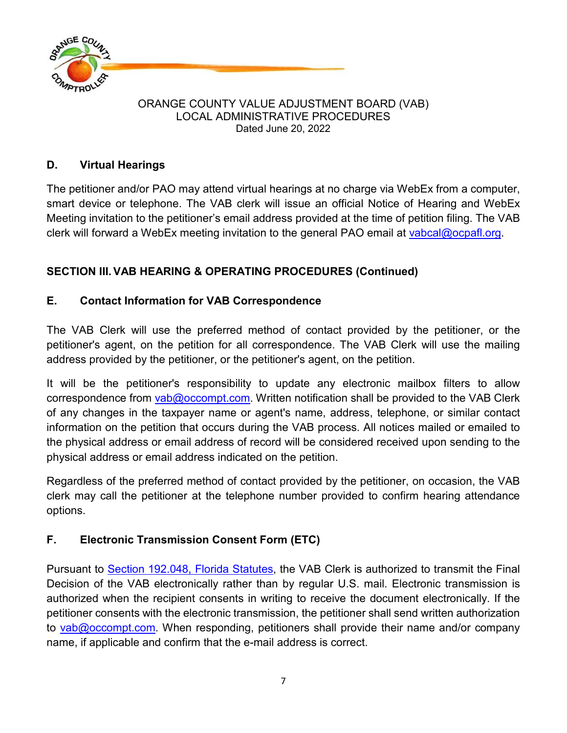

### **D. Virtual Hearings**

The petitioner and/or PAO may attend virtual hearings at no charge via WebEx from a computer, smart device or telephone. The VAB clerk will issue an official Notice of Hearing and WebEx Meeting invitation to the petitioner's email address provided at the time of petition filing. The VAB clerk will forward a WebEx meeting invitation to the general PAO email at [vabcal@ocpafl.org.](mailto:vabcal@ocpafl.org)

## **SECTION III.VAB HEARING & OPERATING PROCEDURES (Continued)**

### **E. Contact Information for VAB Correspondence**

The VAB Clerk will use the preferred method of contact provided by the petitioner, or the petitioner's agent, on the petition for all correspondence. The VAB Clerk will use the mailing address provided by the petitioner, or the petitioner's agent, on the petition.

It will be the petitioner's responsibility to update any electronic mailbox filters to allow correspondence from [vab@occompt.com.](mailto:vab@occompt.com) Written notification shall be provided to the VAB Clerk of any changes in the taxpayer name or agent's name, address, telephone, or similar contact information on the petition that occurs during the VAB process. All notices mailed or emailed to the physical address or email address of record will be considered received upon sending to the physical address or email address indicated on the petition.

Regardless of the preferred method of contact provided by the petitioner, on occasion, the VAB clerk may call the petitioner at the telephone number provided to confirm hearing attendance options.

### **F. Electronic Transmission Consent Form (ETC)**

Pursuant to [Section 192.048, Florida Statutes,](http://www.leg.state.fl.us/STATUTES/index.cfm?App_mode=Display_Index&Title_Request=XIV#TitleXIV) the VAB Clerk is authorized to transmit the Final Decision of the VAB electronically rather than by regular U.S. mail. Electronic transmission is authorized when the recipient consents in writing to receive the document electronically. If the petitioner consents with the electronic transmission, the petitioner shall send written authorization to [vab@occompt.com.](mailto:vab@occompt.com) When responding, petitioners shall provide their name and/or company name, if applicable and confirm that the e-mail address is correct.